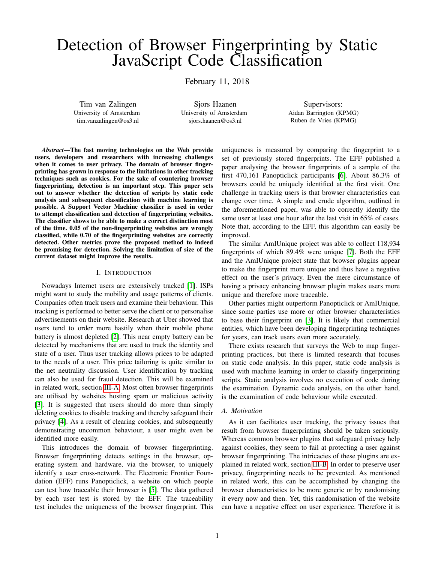# Detection of Browser Fingerprinting by Static JavaScript Code Classification

February 11, 2018

Tim van Zalingen University of Amsterdam tim.vanzalingen@os3.nl

Sjors Haanen University of Amsterdam sjors.haanen@os3.nl

Supervisors: Aidan Barrington (KPMG) Ruben de Vries (KPMG)

*Abstract*—The fast moving technologies on the Web provide users, developers and researchers with increasing challenges when it comes to user privacy. The domain of browser fingerprinting has grown in response to the limitations in other tracking techniques such as cookies. For the sake of countering browser fingerprinting, detection is an important step. This paper sets out to answer whether the detection of scripts by static code analysis and subsequent classification with machine learning is possible. A Support Vector Machine classifier is used in order to attempt classification and detection of fingerprinting websites. The classifier shows to be able to make a correct distinction most of the time. 0.05 of the non-fingerprinting websites are wrongly classified, while 0.70 of the fingerprinting websites are correctly detected. Other metrics prove the proposed method to indeed be promising for detection. Solving the limitation of size of the current dataset might improve the results.

#### I. INTRODUCTION

Nowadays Internet users are extensively tracked [\[1\]](#page-7-0). ISPs might want to study the mobility and usage patterns of clients. Companies often track users and examine their behaviour. This tracking is performed to better serve the client or to personalise advertisements on their website. Research at Uber showed that users tend to order more hastily when their mobile phone battery is almost depleted [\[2\]](#page-7-1). This near empty battery can be detected by mechanisms that are used to track the identity and state of a user. Thus user tracking allows prices to be adapted to the needs of a user. This price tailoring is quite similar to the net neutrality discussion. User identification by tracking can also be used for fraud detection. This will be examined in related work, section [III-A.](#page-2-0) Most often browser fingerprints are utilised by websites hosting spam or malicious activity [\[3\]](#page-8-0). It is suggested that users should do more than simply deleting cookies to disable tracking and thereby safeguard their privacy [\[4\]](#page-8-1). As a result of clearing cookies, and subsequently demonstrating uncommon behaviour, a user might even be identified more easily.

This introduces the domain of browser fingerprinting. Browser fingerprinting detects settings in the browser, operating system and hardware, via the browser, to uniquely identify a user cross-network. The Electronic Frontier Foundation (EFF) runs Panopticlick, a website on which people can test how traceable their browser is [\[5\]](#page-8-2). The data gathered by each user test is stored by the EFF. The traceability test includes the uniqueness of the browser fingerprint. This uniqueness is measured by comparing the fingerprint to a set of previously stored fingerprints. The EFF published a paper analysing the browser fingerprints of a sample of the first 470,161 Panopticlick participants [\[6\]](#page-8-3). About 86.3% of browsers could be uniquely identified at the first visit. One challenge in tracking users is that browser characteristics can change over time. A simple and crude algorithm, outlined in the aforementioned paper, was able to correctly identify the same user at least one hour after the last visit in 65% of cases. Note that, according to the EFF, this algorithm can easily be improved.

The similar AmIUnique project was able to collect 118,934 fingerprints of which 89.4% were unique [\[7\]](#page-8-4). Both the EFF and the AmIUnique project state that browser plugins appear to make the fingerprint more unique and thus have a negative effect on the user's privacy. Even the mere circumstance of having a privacy enhancing browser plugin makes users more unique and therefore more traceable.

Other parties might outperform Panopticlick or AmIUnique, since some parties use more or other browser characteristics to base their fingerprint on [\[3\]](#page-8-0). It is likely that commercial entities, which have been developing fingerprinting techniques for years, can track users even more accurately.

There exists research that surveys the Web to map fingerprinting practices, but there is limited research that focuses on static code analysis. In this paper, static code analysis is used with machine learning in order to classify fingerprinting scripts. Static analysis involves no execution of code during the examination. Dynamic code analysis, on the other hand, is the examination of code behaviour while executed.

### *A. Motivation*

As it can facilitates user tracking, the privacy issues that result from browser fingerprinting should be taken seriously. Whereas common browser plugins that safeguard privacy help against cookies, they seem to fail at protecting a user against browser fingerprinting. The intricacies of these plugins are explained in related work, section [III-B.](#page-2-1) In order to preserve user privacy, fingerprinting needs to be prevented. As mentioned in related work, this can be accomplished by changing the browser characteristics to be more generic or by randomising it every now and then. Yet, this randomisation of the website can have a negative effect on user experience. Therefore it is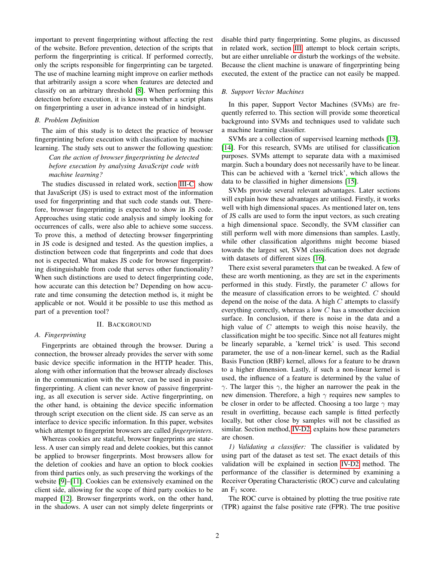important to prevent fingerprinting without affecting the rest of the website. Before prevention, detection of the scripts that perform the fingerprinting is critical. If performed correctly, only the scripts responsible for fingerprinting can be targeted. The use of machine learning might improve on earlier methods that arbitrarily assign a score when features are detected and classify on an arbitrary threshold [\[8\]](#page-8-5). When performing this detection before execution, it is known whether a script plans on fingerprinting a user in advance instead of in hindsight.

## *B. Problem Definition*

The aim of this study is to detect the practice of browser fingerprinting before execution with classification by machine learning. The study sets out to answer the following question:

# *Can the action of browser fingerprinting be detected before execution by analysing JavaScript code with machine learning?*

The studies discussed in related work, section [III-C,](#page-2-2) show that JavaScript (JS) is used to extract most of the information used for fingerprinting and that such code stands out. Therefore, browser fingerprinting is expected to show in JS code. Approaches using static code analysis and simply looking for occurrences of calls, were also able to achieve some success. To prove this, a method of detecting browser fingerprinting in JS code is designed and tested. As the question implies, a distinction between code that fingerprints and code that does not is expected. What makes JS code for browser fingerprinting distinguishable from code that serves other functionality? When such distinctions are used to detect fingerprinting code, how accurate can this detection be? Depending on how accurate and time consuming the detection method is, it might be applicable or not. Would it be possible to use this method as part of a prevention tool?

#### II. BACKGROUND

## <span id="page-1-2"></span>*A. Fingerprinting*

Fingerprints are obtained through the browser. During a connection, the browser already provides the server with some basic device specific information in the HTTP header. This, along with other information that the browser already discloses in the communication with the server, can be used in passive fingerprinting. A client can never know of passive fingerprinting, as all execution is server side. Active fingerprinting, on the other hand, is obtaining the device specific information through script execution on the client side. JS can serve as an interface to device specific information. In this paper, websites which attempt to fingerprint browsers are called *fingerprinters*.

Whereas cookies are stateful, browser fingerprints are stateless. A user can simply read and delete cookies, but this cannot be applied to browser fingerprints. Most browsers allow for the deletion of cookies and have an option to block cookies from third parties only, as such preserving the workings of the website [\[9\]](#page-8-6)–[\[11\]](#page-8-7). Cookies can be extensively examined on the client side, allowing for the scope of third party cookies to be mapped [\[12\]](#page-8-8). Browser fingerprints work, on the other hand, in the shadows. A user can not simply delete fingerprints or disable third party fingerprinting. Some plugins, as discussed in related work, section [III,](#page-2-3) attempt to block certain scripts, but are either unreliable or disturb the workings of the website. Because the client machine is unaware of fingerprinting being executed, the extent of the practice can not easily be mapped.

#### <span id="page-1-1"></span>*B. Support Vector Machines*

In this paper, Support Vector Machines (SVMs) are frequently referred to. This section will provide some theoretical background into SVMs and techniques used to validate such a machine learning classifier.

SVMs are a collection of supervised learning methods [\[13\]](#page-8-9), [\[14\]](#page-8-10). For this research, SVMs are utilised for classification purposes. SVMs attempt to separate data with a maximised margin. Such a boundary does not necessarily have to be linear. This can be achieved with a 'kernel trick', which allows the data to be classified in higher dimensions [\[15\]](#page-8-11).

SVMs provide several relevant advantages. Later sections will explain how these advantages are utilised. Firstly, it works well with high dimensional spaces. As mentioned later on, tens of JS calls are used to form the input vectors, as such creating a high dimensional space. Secondly, the SVM classifier can still perform well with more dimensions than samples. Lastly, while other classification algorithms might become biased towards the largest set, SVM classification does not degrade with datasets of different sizes [\[16\]](#page-8-12).

There exist several parameters that can be tweaked. A few of these are worth mentioning, as they are set in the experiments performed in this study. Firstly, the parameter  $C$  allows for the measure of classification errors to be weighted. C should depend on the noise of the data. A high  $C$  attempts to classify everything correctly, whereas a low  $C$  has a smoother decision surface. In conclusion, if there is noise in the data and a high value of  $C$  attempts to weigh this noise heavily, the classification might be too specific. Since not all features might be linearly separable, a 'kernel trick' is used. This second parameter, the use of a non-linear kernel, such as the Radial Basis Function (RBF) kernel, allows for a feature to be drawn to a higher dimension. Lastly, if such a non-linear kernel is used, the influence of a feature is determined by the value of γ. The larger this γ, the higher an narrower the peak in the new dimension. Therefore, a high  $\gamma$  requires new samples to be closer in order to be affected. Choosing a too large  $\gamma$  may result in overfitting, because each sample is fitted perfectly locally, but other close by samples will not be classified as similar. Section method, [IV-D2,](#page-5-0) explains how these parameters are chosen.

<span id="page-1-0"></span>*1) Validating a classifier:* The classifier is validated by using part of the dataset as test set. The exact details of this validation will be explained in section [IV-D2](#page-5-0) method. The performance of the classifier is determined by examining a Receiver Operating Characteristic (ROC) curve and calculating an  $F_1$  score.

The ROC curve is obtained by plotting the true positive rate (TPR) against the false positive rate (FPR). The true positive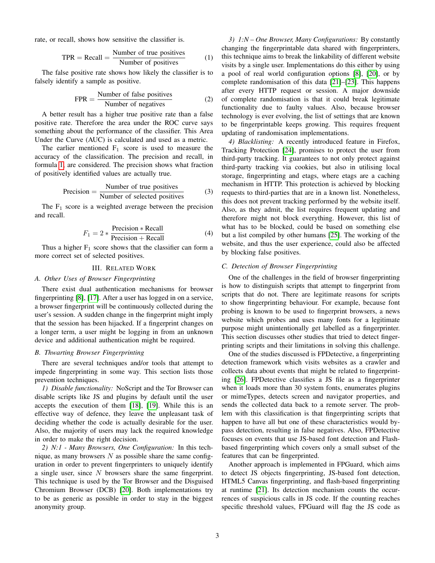<span id="page-2-4"></span>rate, or recall, shows how sensitive the classifier is.

$$
TPR = Recall = \frac{Number of true positives}{Number of positives}
$$
 (1)

The false positive rate shows how likely the classifier is to falsely identify a sample as positive.

$$
FPR = \frac{\text{Number of false positives}}{\text{Number of negatives}} \tag{2}
$$

A better result has a higher true positive rate than a false positive rate. Therefore the area under the ROC curve says something about the performance of the classifier. This Area Under the Curve (AUC) is calculated and used as a metric.

The earlier mentioned  $F_1$  score is used to measure the accuracy of the classification. The precision and recall, in formula [1,](#page-2-4) are considered. The precision shows what fraction of positively identified values are actually true.

$$
Precision = \frac{Number of true positives}{Number of selected positives}
$$
 (3)

The  $F_1$  score is a weighted average between the precision and recall.

$$
F_1 = 2 * \frac{\text{Precision} * \text{Recall}}{\text{Precision} + \text{Recall}} \tag{4}
$$

Thus a higher  $F_1$  score shows that the classifier can form a more correct set of selected positives.

#### III. RELATED WORK

### <span id="page-2-3"></span><span id="page-2-0"></span>*A. Other Uses of Browser Fingerprinting*

There exist dual authentication mechanisms for browser fingerprinting [\[8\]](#page-8-5), [\[17\]](#page-8-13). After a user has logged in on a service, a browser fingerprint will be continuously collected during the user's session. A sudden change in the fingerprint might imply that the session has been hijacked. If a fingerprint changes on a longer term, a user might be logging in from an unknown device and additional authentication might be required.

## <span id="page-2-1"></span>*B. Thwarting Browser Fingerprinting*

There are several techniques and/or tools that attempt to impede fingerprinting in some way. This section lists those prevention techniques.

*1) Disable functionality:* NoScript and the Tor Browser can disable scripts like JS and plugins by default until the user accepts the execution of them [\[18\]](#page-8-14), [\[19\]](#page-8-15). While this is an effective way of defence, they leave the unpleasant task of deciding whether the code is actually desirable for the user. Also, the majority of users may lack the required knowledge in order to make the right decision.

*2) N:1 - Many Browsers, One Configuration:* In this technique, as many browsers  $N$  as possible share the same configuration in order to prevent fingerprinters to uniquely identify a single user, since N browsers share the same fingerprint. This technique is used by the Tor Browser and the Disguised Chromium Browser (DCB) [\[20\]](#page-8-16). Both implementations try to be as generic as possible in order to stay in the biggest anonymity group.

*3) 1:N – One Browser, Many Configurations:* By constantly changing the fingerprintable data shared with fingerprinters, this technique aims to break the linkability of different website visits by a single user. Implementations do this either by using a pool of real world configuration options [\[8\]](#page-8-5), [\[20\]](#page-8-16), or by complete randomisation of this data [\[21\]](#page-8-17)–[\[23\]](#page-8-18). This happens after every HTTP request or session. A major downside of complete randomisation is that it could break legitimate functionality due to faulty values. Also, because browser technology is ever evolving, the list of settings that are known to be fingerprintable keeps growing. This requires frequent updating of randomisation implementations.

*4) Blacklisting:* A recently introduced feature in Firefox, Tracking Protection [\[24\]](#page-8-19), promises to protect the user from third-party tracking. It guarantees to not only protect against third-party tracking via cookies, but also in utilising local storage, fingerprinting and etags, where etags are a caching mechanism in HTTP. This protection is achieved by blocking requests to third-parties that are in a known list. Nonetheless, this does not prevent tracking performed by the website itself. Also, as they admit, the list requires frequent updating and therefore might not block everything. However, this list of what has to be blocked, could be based on something else but a list compiled by other humans [\[25\]](#page-8-20). The working of the website, and thus the user experience, could also be affected by blocking false positives.

### <span id="page-2-2"></span>*C. Detection of Browser Fingerprinting*

One of the challenges in the field of browser fingerprinting is how to distinguish scripts that attempt to fingerprint from scripts that do not. There are legitimate reasons for scripts to show fingerprinting behaviour. For example, because font probing is known to be used to fingerprint browsers, a news website which probes and uses many fonts for a legitimate purpose might unintentionally get labelled as a fingerprinter. This section discusses other studies that tried to detect fingerprinting scripts and their limitations in solving this challenge.

One of the studies discussed is FPDetective, a fingerprinting detection framework which visits websites as a crawler and collects data about events that might be related to fingerprinting [\[26\]](#page-8-21). FPDetective classifies a JS file as a fingerprinter when it loads more than 30 system fonts, enumerates plugins or mimeTypes, detects screen and navigator properties, and sends the collected data back to a remote server. The problem with this classification is that fingerprinting scripts that happen to have all but one of these characteristics would bypass detection, resulting in false negatives. Also, FPDetective focuses on events that use JS-based font detection and Flashbased fingerprinting which covers only a small subset of the features that can be fingerprinted.

Another approach is implemented in FPGuard, which aims to detect JS objects fingerprinting, JS-based font detection, HTML5 Canvas fingerprinting, and flash-based fingerprinting at runtime [\[21\]](#page-8-17). Its detection mechanism counts the occurrences of suspicious calls in JS code. If the counting reaches specific threshold values, FPGuard will flag the JS code as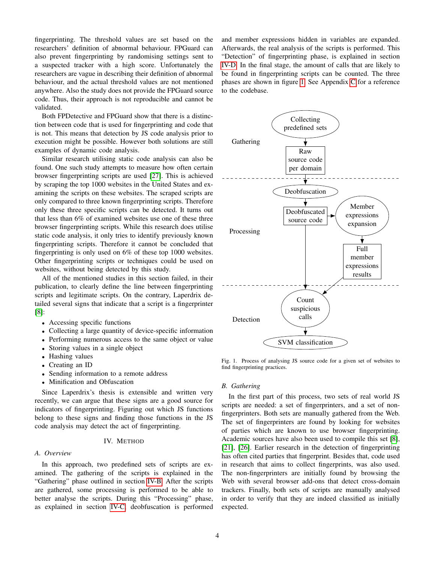fingerprinting. The threshold values are set based on the researchers' definition of abnormal behaviour. FPGuard can also prevent fingerprinting by randomising settings sent to a suspected tracker with a high score. Unfortunately the researchers are vague in describing their definition of abnormal behaviour, and the actual threshold values are not mentioned anywhere. Also the study does not provide the FPGuard source code. Thus, their approach is not reproducible and cannot be validated.

Both FPDetective and FPGuard show that there is a distinction between code that is used for fingerprinting and code that is not. This means that detection by JS code analysis prior to execution might be possible. However both solutions are still examples of dynamic code analysis.

Similar research utilising static code analysis can also be found. One such study attempts to measure how often certain browser fingerprinting scripts are used [\[27\]](#page-8-22). This is achieved by scraping the top 1000 websites in the United States and examining the scripts on these websites. The scraped scripts are only compared to three known fingerprinting scripts. Therefore only these three specific scripts can be detected. It turns out that less than 6% of examined websites use one of these three browser fingerprinting scripts. While this research does utilise static code analysis, it only tries to identify previously known fingerprinting scripts. Therefore it cannot be concluded that fingerprinting is only used on 6% of these top 1000 websites. Other fingerprinting scripts or techniques could be used on websites, without being detected by this study.

All of the mentioned studies in this section failed, in their publication, to clearly define the line between fingerprinting scripts and legitimate scripts. On the contrary, Laperdrix detailed several signs that indicate that a script is a fingerprinter [\[8\]](#page-8-5):

- Accessing specific functions
- Collecting a large quantity of device-specific information
- Performing numerous access to the same object or value
- Storing values in a single object
- Hashing values
- Creating an ID
- Sending information to a remote address
- Minification and Obfuscation

Since Laperdrix's thesis is extensible and written very recently, we can argue that these signs are a good source for indicators of fingerprinting. Figuring out which JS functions belong to these signs and finding those functions in the JS code analysis may detect the act of fingerprinting.

## IV. METHOD

## *A. Overview*

In this approach, two predefined sets of scripts are examined. The gathering of the scripts is explained in the "Gathering" phase outlined in section [IV-B.](#page-3-0) After the scripts are gathered, some processing is performed to be able to better analyse the scripts. During this "Processing" phase, as explained in section [IV-C,](#page-4-0) deobfuscation is performed and member expressions hidden in variables are expanded. Afterwards, the real analysis of the scripts is performed. This "Detection" of fingerprinting phase, is explained in section [IV-D.](#page-4-1) In the final stage, the amount of calls that are likely to be found in fingerprinting scripts can be counted. The three phases are shown in figure [1.](#page-3-1) See Appendix [C](#page-10-0) for a reference to the codebase.



<span id="page-3-1"></span>Fig. 1. Process of analysing JS source code for a given set of websites to find fingerprinting practices.

#### <span id="page-3-0"></span>*B. Gathering*

In the first part of this process, two sets of real world JS scripts are needed: a set of fingerprinters, and a set of nonfingerprinters. Both sets are manually gathered from the Web. The set of fingerprinters are found by looking for websites of parties which are known to use browser fingerprinting. Academic sources have also been used to compile this set [\[8\]](#page-8-5), [\[21\]](#page-8-17), [\[26\]](#page-8-21). Earlier research in the detection of fingerprinting has often cited parties that fingerprint. Besides that, code used in research that aims to collect fingerprints, was also used. The non-fingerprinters are initially found by browsing the Web with several browser add-ons that detect cross-domain trackers. Finally, both sets of scripts are manually analysed in order to verify that they are indeed classified as initially expected.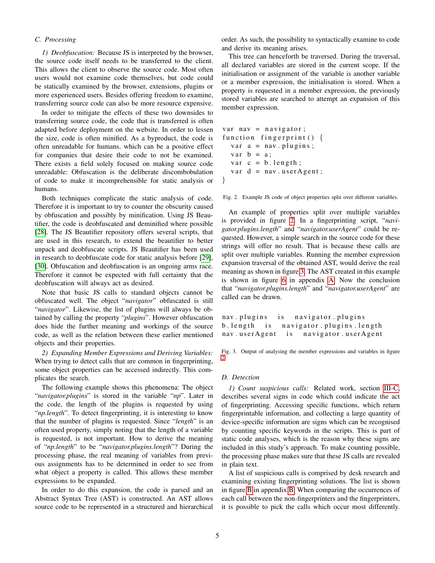## <span id="page-4-0"></span>*C. Processing*

*1) Deobfuscation:* Because JS is interpreted by the browser, the source code itself needs to be transferred to the client. This allows the client to observe the source code. Most often users would not examine code themselves, but code could be statically examined by the browser, extensions, plugins or more experienced users. Besides offering freedom to examine, transferring source code can also be more resource expensive.

In order to mitigate the effects of these two downsides to transferring source code, the code that is transferred is often adapted before deployment on the website. In order to lessen the size, code is often minified. As a byproduct, the code is often unreadable for humans, which can be a positive effect for companies that desire their code to not be examined. There exists a field solely focused on making source code unreadable: Obfuscation is the deliberate discombobulation of code to make it incomprehensible for static analysis or humans.

Both techniques complicate the static analysis of code. Therefore it is important to try to counter the obscurity caused by obfuscation and possibly by minification. Using JS Beautifier, the code is deobfuscated and deminified where possible [\[28\]](#page-8-23). The JS Beautifier repository offers several scripts, that are used in this research, to extend the beautifier to better unpack and deobfuscate scripts. JS Beautifier has been used in research to deobfuscate code for static analysis before [\[29\]](#page-8-24), [\[30\]](#page-8-25). Obfuscation and deobfuscation is an ongoing arms race. Therefore it cannot be expected with full certainty that the deobfuscation will always act as desired.

Note that basic JS calls to standard objects cannot be obfuscated well. The object "*navigator*" obfuscated is still "*navigator*". Likewise, the list of plugins will always be obtained by calling the property "*plugins*". However obfuscation does hide the further meaning and workings of the source code, as well as the relation between these earlier mentioned objects and their properties.

*2) Expanding Member Expressions and Deriving Variables:* When trying to detect calls that are common in fingerprinting, some object properties can be accessed indirectly. This complicates the search.

The following example shows this phenomena: The object "*navigator.plugins*" is stored in the variable "*np*". Later in the code, the length of the plugins is requested by using "*np.length*". To detect fingerprinting, it is interesting to know that the number of plugins is requested. Since "*length*" is an often used property, simply noting that the length of a variable is requested, is not important. How to derive the meaning of "*np.length*" to be "*navigator.plugins.length*"? During the processing phase, the real meaning of variables from previous assignments has to be determined in order to see from what object a property is called. This allows these member expressions to be expanded.

In order to do this expansion, the code is parsed and an Abstract Syntax Tree (AST) is constructed. An AST allows source code to be represented in a structured and hierarchical

order. As such, the possibility to syntactically examine to code and derive its meaning arises.

This tree can henceforth be traversed. During the traversal, all declared variables are stored in the current scope. If the initialisation or assignment of the variable is another variable or a member expression, the initialisation is stored. When a property is requested in a member expression, the previously stored variables are searched to attempt an expansion of this member expression.

```
var nav = navigator;
function fingerprint () {
  var a = \text{nav} \cdot \text{plus} ;
  var b = a;
  var c = b. length;
  var d = nav. userAgent;}
```
<span id="page-4-2"></span>Fig. 2. Example JS code of object properties split over different variables.

An example of properties split over multiple variables is provided in figure [2.](#page-4-2) In a fingerprinting script, "*navigator.plugins.length*" and "*navigator.userAgent*" could be requested. However, a simple search in the source code for these strings will offer no result. That is because these calls are split over multiple variables. Running the member expression expansion traversal of the obtained AST, would derive the real meaning as shown in figure [3.](#page-4-3) The AST created in this example is shown in figure [6](#page-9-0) in appendix [A.](#page-9-1) Now the conclusion that "*navigator.plugins.length*" and "*navigator.userAgent*" are called can be drawn.

nav. plugins is navigator. plugins b. length is navigator. plugins. length nav . user Agent is navigator . user Agent

<span id="page-4-3"></span>Fig. 3. Output of analysing the member expressions and variables in figure [2.](#page-4-2)

#### <span id="page-4-1"></span>*D. Detection*

<span id="page-4-4"></span>*1) Count suspicious calls:* Related work, section [III-C,](#page-2-2) describes several signs in code which could indicate the act of fingerprinting. Accessing specific functions, which return fingerprintable information, and collecting a large quantity of device-specific information are signs which can be recognised by counting specific keywords in the scripts. This is part of static code analyses, which is the reason why these signs are included in this study's approach. To make counting possible, the processing phase makes sure that these JS calls are revealed in plain text.

A list of suspicious calls is comprised by desk research and examining existing fingerprinting solutions. The list is shown in figure [B](#page-10-1) in appendix [B.](#page-10-2) When comparing the occurrences of each call between the non-fingerprinters and the fingerprinters, it is possible to pick the calls which occur most differently.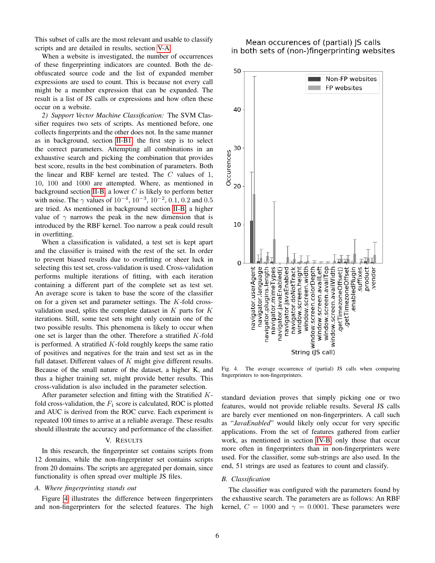This subset of calls are the most relevant and usable to classify scripts and are detailed in results, section [V-A.](#page-5-1)

When a website is investigated, the number of occurrences of these fingerprinting indicators are counted. Both the deobfuscated source code and the list of expanded member expressions are used to count. This is because not every call might be a member expression that can be expanded. The result is a list of JS calls or expressions and how often these occur on a website.

<span id="page-5-0"></span>*2) Support Vector Machine Classification:* The SVM Classifier requires two sets of scripts. As mentioned before, one collects fingerprints and the other does not. In the same manner as in background, section [II-B1,](#page-1-0) the first step is to select the correct parameters. Attempting all combinations in an exhaustive search and picking the combination that provides best score, results in the best combination of parameters. Both the linear and RBF kernel are tested. The C values of 1, 10, 100 and 1000 are attempted. Where, as mentioned in background section [II-B,](#page-1-1) a lower  $C$  is likely to perform better with noise. The  $\gamma$  values of  $10^{-4}$ ,  $10^{-3}$ ,  $10^{-2}$ ,  $0.1$ ,  $0.2$  and  $0.5$ are tried. As mentioned in background section [II-B,](#page-1-1) a higher value of  $\gamma$  narrows the peak in the new dimension that is introduced by the RBF kernel. Too narrow a peak could result in overfitting.

When a classification is validated, a test set is kept apart and the classifier is trained with the rest of the set. In order to prevent biased results due to overfitting or sheer luck in selecting this test set, cross-validation is used. Cross-validation performs multiple iterations of fitting, with each iteration containing a different part of the complete set as test set. An average score is taken to base the score of the classifier on for a given set and parameter settings. The K-fold crossvalidation used, splits the complete dataset in  $K$  parts for  $K$ iterations. Still, some test sets might only contain one of the two possible results. This phenomena is likely to occur when one set is larger than the other. Therefore a stratified K-fold is performed. A stratified  $K$ -fold roughly keeps the same ratio of positives and negatives for the train and test set as in the full dataset. Different values of  $K$  might give different results. Because of the small nature of the dataset, a higher K, and thus a higher training set, might provide better results. This cross-validation is also included in the parameter selection.

After parameter selection and fitting with the Stratified Kfold cross-validation, the  $F_1$  score is calculated, ROC is plotted and AUC is derived from the ROC curve. Each experiment is repeated 100 times to arrive at a reliable average. These results should illustrate the accuracy and performance of the classifier.

## V. RESULTS

In this research, the fingerprinter set contains scripts from 12 domains, while the non-fingerprinter set contains scripts from 20 domains. The scripts are aggregated per domain, since functionality is often spread over multiple JS files.

#### <span id="page-5-1"></span>*A. Where fingerprinting stands out*

Figure [4](#page-5-2) illustrates the difference between fingerprinters and non-fingerprinters for the selected features. The high

# Mean occurences of (partial) JS calls in both sets of (non-)fingerprinting websites



<span id="page-5-2"></span>Fig. 4. The average occurrence of (partial) JS calls when comparing fingerprinters to non-fingerprinters.

standard deviation proves that simply picking one or two features, would not provide reliable results. Several JS calls are barely ever mentioned on non-fingerprinters. A call such as "*JavaEnabled*" would likely only occur for very specific applications. From the set of features gathered from earlier work, as mentioned in section [IV-B,](#page-3-0) only those that occur more often in fingerprinters than in non-fingerprinters were used. For the classifier, some sub-strings are also used. In the end, 51 strings are used as features to count and classify.

#### *B. Classification*

The classifier was configured with the parameters found by the exhaustive search. The parameters are as follows: An RBF kernel,  $C = 1000$  and  $\gamma = 0.0001$ . These parameters were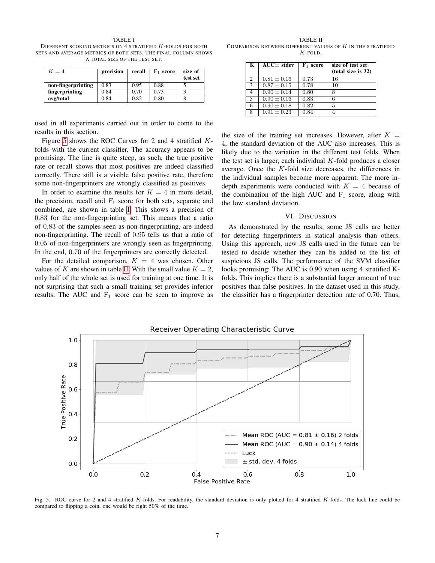<span id="page-6-1"></span>TABLE I DIFFERENT SCORING METRICS ON 4 STRATIFIED K-FOLDS FOR BOTH SETS AND AVERAGE METRICS OF BOTH SETS. THE FINAL COLUMN SHOWS A TOTAL SIZE OF THE TEST SET.

| $K=4$              | precision | recall | $\mathbf{F}_1$ score | size of<br>test set |
|--------------------|-----------|--------|----------------------|---------------------|
| non-fingerprinting | 0.83      | 0.95   | 0.88                 |                     |
| fingerprinting     | 0.84      | 0.70   | 0.73                 |                     |
| avg/total          | 0.84      | 0.82   | 0.80                 |                     |

used in all experiments carried out in order to come to the results in this section.

Figure [5](#page-6-0) shows the ROC Curves for 2 and 4 stratified Kfolds with the current classifier. The accuracy appears to be promising. The line is quite steep, as such, the true positive rate or recall shows that most positives are indeed classified correctly. There still is a visible false positive rate, therefore some non-fingerprinters are wrongly classified as positives.

In order to examine the results for  $K = 4$  in more detail, the precision, recall and  $F_1$  score for both sets, separate and combined, are shown in table [I.](#page-6-1) This shows a precision of 0.83 for the non-fingerprinting set. This means that a ratio of 0.83 of the samples seen as non-fingerprinting, are indeed non-fingerprinting. The recall of 0.95 tells us that a ratio of 0.05 of non-fingerprinters are wrongly seen as fingerprinting. In the end, 0.70 of the fingerprinters are correctly detected.

For the detailed comparison,  $K = 4$  was chosen. Other values of K are shown in table [II.](#page-6-2) With the small value  $K = 2$ , only half of the whole set is used for training at one time. It is not surprising that such a small training set provides inferior results. The AUC and  $F_1$  score can be seen to improve as

<span id="page-6-2"></span>TABLE II COMPARISON BETWEEN DIFFERENT VALUES OF  $K$  in the stratified  $K$ -FOLD.

| K | $AUC \pm stdev$ | $\mathbf{F}_1$ score | size of test set<br>(total size is 32) |
|---|-----------------|----------------------|----------------------------------------|
| 2 | $0.81 \pm 0.16$ | 0.73                 | 16                                     |
| 3 | $0.87 \pm 0.15$ | 0.78                 | 10                                     |
| 4 | $0.90 + 0.14$   | 0.80                 |                                        |
| 5 | $0.90 \pm 0.16$ | 0.83                 |                                        |
| 6 | $0.90 \pm 0.18$ | 0.82                 | 5                                      |
| 8 | $0.91 \pm 0.23$ | 0.84                 |                                        |

the size of the training set increases. However, after  $K =$ 4, the standard deviation of the AUC also increases. This is likely due to the variation in the different test folds. When the test set is larger, each individual  $K$ -fold produces a closer average. Once the K-fold size decreases, the differences in the individual samples become more apparent. The more indepth experiments were conducted with  $K = 4$  because of the combination of the high AUC and  $F_1$  score, along with the low standard deviation.

#### VI. DISCUSSION

As demonstrated by the results, some JS calls are better for detecting fingerprinters in statical analysis than others. Using this approach, new JS calls used in the future can be tested to decide whether they can be added to the list of suspicious JS calls. The performance of the SVM classifier looks promising: The AUC is 0.90 when using 4 stratified Kfolds. This implies there is a substantial larger amount of true positives than false positives. In the dataset used in this study, the classifier has a fingerprinter detection rate of 0.70. Thus,



<span id="page-6-0"></span>Fig. 5. ROC curve for 2 and 4 stratified K-folds. For readability, the standard deviation is only plotted for 4 stratified K-folds. The luck line could be compared to flipping a coin, one would be right 50% of the time.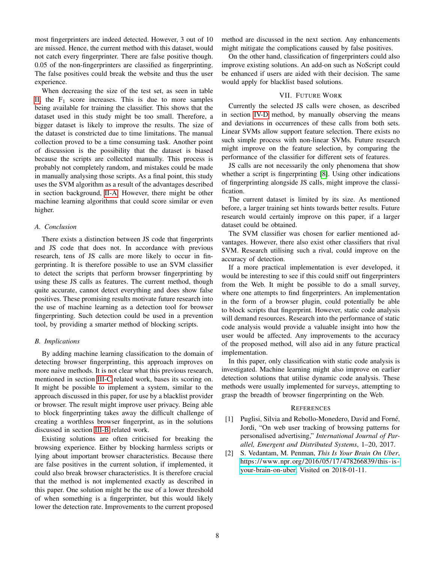most fingerprinters are indeed detected. However, 3 out of 10 are missed. Hence, the current method with this dataset, would not catch every fingerprinter. There are false positive though. 0.05 of the non-fingerprinters are classified as fingerprinting. The false positives could break the website and thus the user experience.

When decreasing the size of the test set, as seen in table [II,](#page-6-2) the  $F_1$  score increases. This is due to more samples being available for training the classifier. This shows that the dataset used in this study might be too small. Therefore, a bigger dataset is likely to improve the results. The size of the dataset is constricted due to time limitations. The manual collection proved to be a time consuming task. Another point of discussion is the possibility that the dataset is biased because the scripts are collected manually. This process is probably not completely random, and mistakes could be made in manually analysing those scripts. As a final point, this study uses the SVM algorithm as a result of the advantages described in section background, [II-A.](#page-1-2) However, there might be other machine learning algorithms that could score similar or even higher.

### *A. Conclusion*

There exists a distinction between JS code that fingerprints and JS code that does not. In accordance with previous research, tens of JS calls are more likely to occur in fingerprinting. It is therefore possible to use an SVM classifier to detect the scripts that perform browser fingerprinting by using these JS calls as features. The current method, though quite accurate, cannot detect everything and does show false positives. These promising results motivate future research into the use of machine learning as a detection tool for browser fingerprinting. Such detection could be used in a prevention tool, by providing a smarter method of blocking scripts.

#### *B. Implications*

By adding machine learning classification to the domain of detecting browser fingerprinting, this approach improves on more naive methods. It is not clear what this previous research, mentioned in section [III-C](#page-2-2) related work, bases its scoring on. It might be possible to implement a system, similar to the approach discussed in this paper, for use by a blacklist provider or browser. The result might improve user privacy. Being able to block fingerprinting takes away the difficult challenge of creating a worthless browser fingerprint, as in the solutions discussed in section [III-B](#page-2-1) related work.

Existing solutions are often criticised for breaking the browsing experience. Either by blocking harmless scripts or lying about important browser characteristics. Because there are false positives in the current solution, if implemented, it could also break browser characteristics. It is therefore crucial that the method is not implemented exactly as described in this paper. One solution might be the use of a lower threshold of when something is a fingerprinter, but this would likely lower the detection rate. Improvements to the current proposed

method are discussed in the next section. Any enhancements might mitigate the complications caused by false positives.

On the other hand, classification of fingerprinters could also improve existing solutions. An add-on such as NoScript could be enhanced if users are aided with their decision. The same would apply for blacklist based solutions.

#### VII. FUTURE WORK

Currently the selected JS calls were chosen, as described in section [IV-D](#page-4-1) method, by manually observing the means and deviations in occurrences of these calls from both sets. Linear SVMs allow support feature selection. There exists no such simple process with non-linear SVMs. Future research might improve on the feature selection, by comparing the performance of the classifier for different sets of features.

JS calls are not necessarily the only phenomena that show whether a script is fingerprinting [\[8\]](#page-8-5). Using other indications of fingerprinting alongside JS calls, might improve the classification.

The current dataset is limited by its size. As mentioned before, a larger training set hints towards better results. Future research would certainly improve on this paper, if a larger dataset could be obtained.

The SVM classifier was chosen for earlier mentioned advantages. However, there also exist other classifiers that rival SVM. Research utilising such a rival, could improve on the accuracy of detection.

If a more practical implementation is ever developed, it would be interesting to see if this could sniff out fingerprinters from the Web. It might be possible to do a small survey, where one attempts to find fingerprinters. An implementation in the form of a browser plugin, could potentially be able to block scripts that fingerprint. However, static code analysis will demand resources. Research into the performance of static code analysis would provide a valuable insight into how the user would be affected. Any improvements to the accuracy of the proposed method, will also aid in any future practical implementation.

In this paper, only classification with static code analysis is investigated. Machine learning might also improve on earlier detection solutions that utilise dynamic code analysis. These methods were usually implemented for surveys, attempting to grasp the breadth of browser fingerprinting on the Web.

#### **REFERENCES**

- <span id="page-7-0"></span>[1] Puglisi, Silvia and Rebollo-Monedero, David and Forné, Jordi, "On web user tracking of browsing patterns for personalised advertising," *International Journal of Parallel, Emergent and Distributed Systems*, 1–20, 2017.
- <span id="page-7-1"></span>[2] S. Vedantam, M. Penman, *This Is Your Brain On Uber*, https://www.npr.org/2016/05/17/478266839/this-is[your-brain-on-uber,](https://www.npr.org/2016/05/17/478266839/this-is-your-brain-on-uber) Visited on 2018-01-11.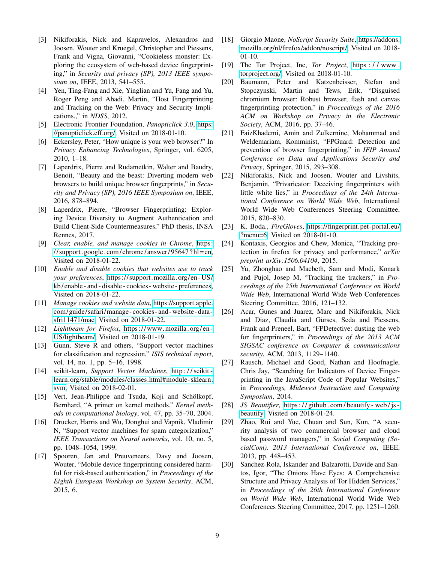- <span id="page-8-0"></span>[3] Nikiforakis, Nick and Kapravelos, Alexandros and Joosen, Wouter and Kruegel, Christopher and Piessens, Frank and Vigna, Giovanni, "Cookieless monster: Exploring the ecosystem of web-based device fingerprinting," in *Security and privacy (SP), 2013 IEEE symposium on*, IEEE, 2013, 541–555.
- <span id="page-8-1"></span>[4] Yen, Ting-Fang and Xie, Yinglian and Yu, Fang and Yu, Roger Peng and Abadi, Martin, "Host Fingerprinting and Tracking on the Web: Privacy and Security Implications.," in *NDSS*, 2012.
- <span id="page-8-2"></span>[5] Electronic Frontier Foundation, *Panopticlick 3.0*, [https:](https://panopticlick.eff.org/) [//panopticlick.eff.org/,](https://panopticlick.eff.org/) Visited on 2018-01-10.
- <span id="page-8-3"></span>[6] Eckersley, Peter, "How unique is your web browser?" In *Privacy Enhancing Technologies*, Springer, vol. 6205, 2010, 1–18.
- <span id="page-8-4"></span>[7] Laperdrix, Pierre and Rudametkin, Walter and Baudry, Benoit, "Beauty and the beast: Diverting modern web browsers to build unique browser fingerprints," in *Security and Privacy (SP), 2016 IEEE Symposium on*, IEEE, 2016, 878–894.
- <span id="page-8-5"></span>[8] Laperdrix, Pierre, "Browser Fingerprinting: Exploring Device Diversity to Augment Authentication and Build Client-Side Countermeasures," PhD thesis, INSA Rennes, 2017.
- <span id="page-8-6"></span>[9] *Clear, enable, and manage cookies in Chrome*, [https:](https://support.google.com/chrome/answer/95647?hl=en)  $\frac{1}{\sqrt{2}}$  // support. google. com/ chrome/answer/95647? hl = en, Visited on 2018-01-22.
- [10] *Enable and disable cookies that websites use to track your preferences*, [https://support.mozilla.org/en - US/](https://support.mozilla.org/en-US/kb/enable-and-disable-cookies-website-preferences) [kb/ enable - and - disable - cookies - website - preferences,](https://support.mozilla.org/en-US/kb/enable-and-disable-cookies-website-preferences) Visited on 2018-01-22.
- <span id="page-8-7"></span>[11] *Manage cookies and website data*, [https://support.apple.](https://support.apple.com/guide/safari/manage-cookies-and-website-data-sfri11471/mac) [com/guide/safari/manage - cookies - and - website - data](https://support.apple.com/guide/safari/manage-cookies-and-website-data-sfri11471/mac)  [sfri11471/mac,](https://support.apple.com/guide/safari/manage-cookies-and-website-data-sfri11471/mac) Visited on 2018-01-22.
- <span id="page-8-8"></span>[12] *Lightbeam for Firefox*, https://www.mozilla.org/en-[US/lightbeam/,](https://www.mozilla.org/en-US/lightbeam/) Visited on 2018-01-19.
- <span id="page-8-9"></span>[13] Gunn, Steve R and others, "Support vector machines for classification and regression," *ISIS technical report*, vol. 14, no. 1, pp. 5–16, 1998.
- <span id="page-8-10"></span>[14] scikit-learn, *Support Vector Machines*, [http : / / scikit](http://scikit-learn.org/stable/modules/classes.html#module-sklearn.svm)  [learn.org/stable/modules/classes.html#module-sklearn.](http://scikit-learn.org/stable/modules/classes.html#module-sklearn.svm) [svm,](http://scikit-learn.org/stable/modules/classes.html#module-sklearn.svm) Visited on 2018-02-01.
- <span id="page-8-11"></span>[15] Vert, Jean-Philippe and Tsuda, Koji and Schölkopf, Bernhard, "A primer on kernel methods," *Kernel methods in computational biology*, vol. 47, pp. 35–70, 2004.
- <span id="page-8-12"></span>[16] Drucker, Harris and Wu, Donghui and Vapnik, Vladimir N, "Support vector machines for spam categorization," *IEEE Transactions on Neural networks*, vol. 10, no. 5, pp. 1048–1054, 1999.
- <span id="page-8-13"></span>[17] Spooren, Jan and Preuveneers, Davy and Joosen, Wouter, "Mobile device fingerprinting considered harmful for risk-based authentication," in *Proceedings of the Eighth European Workshop on System Security*, ACM, 2015, 6.
- <span id="page-8-14"></span>[18] Giorgio Maone, *NoScript Security Suite*, [https://addons.](https://addons.mozilla.org/nl/firefox/addon/noscript/) [mozilla.org/nl/firefox/addon/noscript/,](https://addons.mozilla.org/nl/firefox/addon/noscript/) Visited on 2018- 01-10.
- <span id="page-8-15"></span>[19] The Tor Project, Inc, *Tor Project*, [https : / / www .](https://www.torproject.org/) [torproject.org/,](https://www.torproject.org/) Visited on 2018-01-10.
- <span id="page-8-16"></span>[20] Baumann, Peter and Katzenbeisser, Stefan and Stopczynski, Martin and Tews, Erik, "Disguised chromium browser: Robust browser, flash and canvas fingerprinting protection," in *Proceedings of the 2016 ACM on Workshop on Privacy in the Electronic Society*, ACM, 2016, pp. 37–46.
- <span id="page-8-17"></span>[21] FaizKhademi, Amin and Zulkernine, Mohammad and Weldemariam, Komminist, "FPGuard: Detection and prevention of browser fingerprinting," in *IFIP Annual Conference on Data and Applications Security and Privacy*, Springer, 2015, 293–308.
- [22] Nikiforakis, Nick and Joosen, Wouter and Livshits, Benjamin, "Privaricator: Deceiving fingerprinters with little white lies," in *Proceedings of the 24th International Conference on World Wide Web*, International World Wide Web Conferences Steering Committee, 2015, 820–830.
- <span id="page-8-18"></span>[23] K. Boda., *FireGloves*, [https://fingerprint.pet-portal.eu/](https://fingerprint.pet-portal.eu/?menu=6) [?menu=6,](https://fingerprint.pet-portal.eu/?menu=6) Visited on 2018-01-10.
- <span id="page-8-19"></span>[24] Kontaxis, Georgios and Chew, Monica, "Tracking protection in firefox for privacy and performance," *arXiv preprint arXiv:1506.04104*, 2015.
- <span id="page-8-20"></span>[25] Yu, Zhonghao and Macbeth, Sam and Modi, Konark and Pujol, Josep M, "Tracking the trackers," in *Proceedings of the 25th International Conference on World Wide Web*, International World Wide Web Conferences Steering Committee, 2016, 121–132.
- <span id="page-8-21"></span>[26] Acar, Gunes and Juarez, Marc and Nikiforakis, Nick and Diaz, Claudia and Gürses, Seda and Piessens, Frank and Preneel, Bart, "FPDetective: dusting the web for fingerprinters," in *Proceedings of the 2013 ACM SIGSAC conference on Computer & communications security*, ACM, 2013, 1129–1140.
- <span id="page-8-22"></span>[27] Rausch, Michael and Good, Nathan and Hoofnagle, Chris Jay, "Searching for Indicators of Device Fingerprinting in the JavaScript Code of Popular Websites," in *Proceedings, Midewest Instruction and Computing Symposium*, 2014.
- <span id="page-8-23"></span>[28] *JS Beautifier*, https://github.com/beautify - web/js [beautify,](https://github.com/beautify-web/js-beautify) Visited on 2018-01-24.
- <span id="page-8-24"></span>[29] Zhao, Rui and Yue, Chuan and Sun, Kun, "A security analysis of two commercial browser and cloud based password managers," in *Social Computing (SocialCom), 2013 International Conference on*, IEEE, 2013, pp. 448–453.
- <span id="page-8-25"></span>[30] Sanchez-Rola, Iskander and Balzarotti, Davide and Santos, Igor, "The Onions Have Eyes: A Comprehensive Structure and Privacy Analysis of Tor Hidden Services," in *Proceedings of the 26th International Conference on World Wide Web*, International World Wide Web Conferences Steering Committee, 2017, pp. 1251–1260.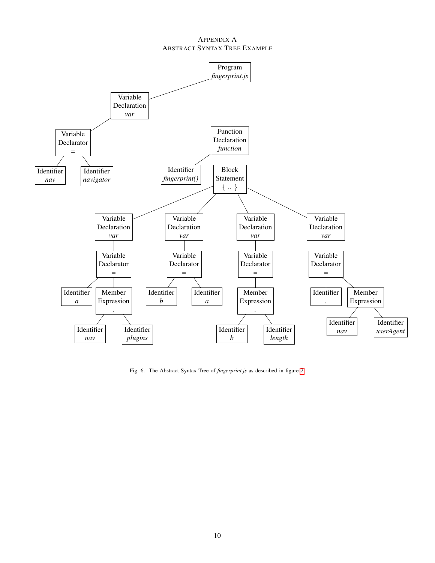## <span id="page-9-1"></span>APPENDIX A ABSTRACT SYNTAX TREE EXAMPLE



<span id="page-9-0"></span>Fig. 6. The Abstract Syntax Tree of *fingerprint.js* as described in figure [2.](#page-4-2)